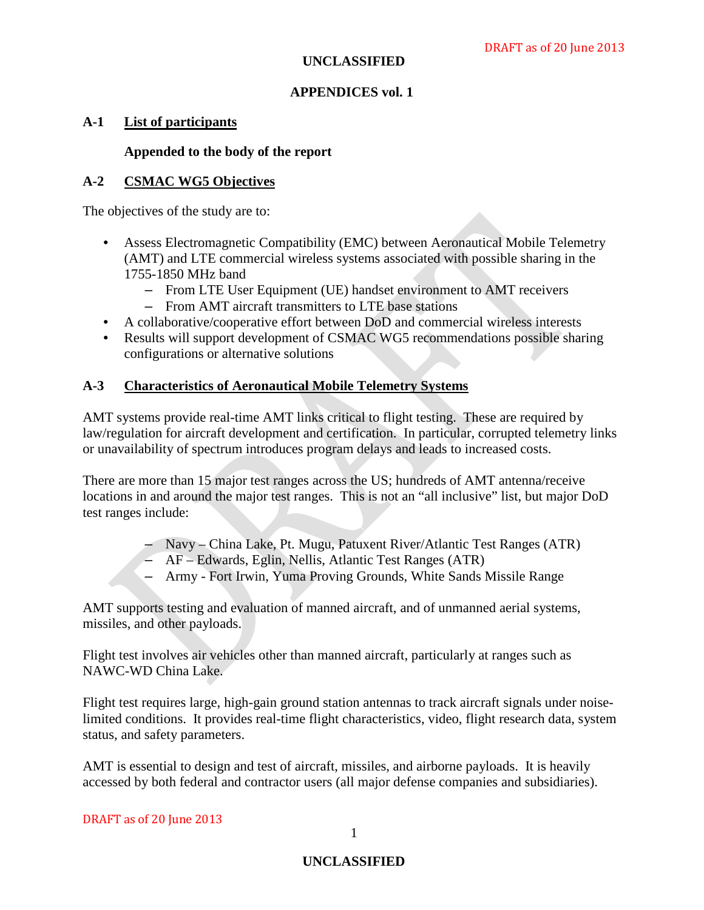## **APPENDICES vol. 1**

#### **A-1 List of participants**

#### **Appended to the body of the report**

#### **A-2 CSMAC WG5 Objectives**

The objectives of the study are to:

- Assess Electromagnetic Compatibility (EMC) between Aeronautical Mobile Telemetry (AMT) and LTE commercial wireless systems associated with possible sharing in the 1755-1850 MHz band
	- From LTE User Equipment (UE) handset environment to AMT receivers
	- From AMT aircraft transmitters to LTE base stations
- A collaborative/cooperative effort between DoD and commercial wireless interests
- Results will support development of CSMAC WG5 recommendations possible sharing configurations or alternative solutions

## **A-3 Characteristics of Aeronautical Mobile Telemetry Systems**

AMT systems provide real-time AMT links critical to flight testing. These are required by law/regulation for aircraft development and certification. In particular, corrupted telemetry links or unavailability of spectrum introduces program delays and leads to increased costs.

There are more than 15 major test ranges across the US; hundreds of AMT antenna/receive locations in and around the major test ranges. This is not an "all inclusive" list, but major DoD test ranges include:

- Navy China Lake, Pt. Mugu, Patuxent River/Atlantic Test Ranges (ATR)
- AF Edwards, Eglin, Nellis, Atlantic Test Ranges (ATR)
- Army Fort Irwin, Yuma Proving Grounds, White Sands Missile Range

AMT supports testing and evaluation of manned aircraft, and of unmanned aerial systems, missiles, and other payloads.

Flight test involves air vehicles other than manned aircraft, particularly at ranges such as NAWC-WD China Lake.

Flight test requires large, high-gain ground station antennas to track aircraft signals under noiselimited conditions. It provides real-time flight characteristics, video, flight research data, system status, and safety parameters.

AMT is essential to design and test of aircraft, missiles, and airborne payloads. It is heavily accessed by both federal and contractor users (all major defense companies and subsidiaries).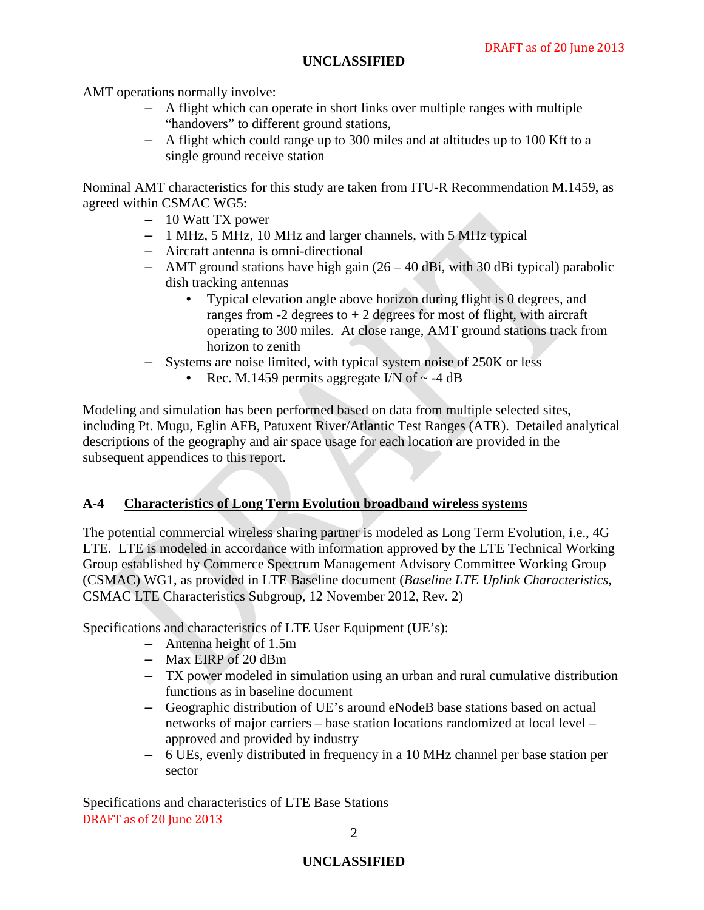AMT operations normally involve:

- A flight which can operate in short links over multiple ranges with multiple "handovers" to different ground stations,
- A flight which could range up to 300 miles and at altitudes up to 100 Kft to a single ground receive station

Nominal AMT characteristics for this study are taken from ITU-R Recommendation M.1459, as agreed within CSMAC WG5:

- 10 Watt TX power
- 1 MHz, 5 MHz, 10 MHz and larger channels, with 5 MHz typical
- Aircraft antenna is omni-directional
- AMT ground stations have high gain  $(26 40$  dBi, with 30 dBi typical) parabolic dish tracking antennas
	- Typical elevation angle above horizon during flight is 0 degrees, and ranges from  $-2$  degrees to  $+2$  degrees for most of flight, with aircraft operating to 300 miles. At close range, AMT ground stations track from horizon to zenith
- Systems are noise limited, with typical system noise of 250K or less
	- Rec. M.1459 permits aggregate I/N of  $\sim$  -4 dB

Modeling and simulation has been performed based on data from multiple selected sites, including Pt. Mugu, Eglin AFB, Patuxent River/Atlantic Test Ranges (ATR). Detailed analytical descriptions of the geography and air space usage for each location are provided in the subsequent appendices to this report.

## **A-4 Characteristics of Long Term Evolution broadband wireless systems**

The potential commercial wireless sharing partner is modeled as Long Term Evolution, i.e., 4G LTE. LTE is modeled in accordance with information approved by the LTE Technical Working Group established by Commerce Spectrum Management Advisory Committee Working Group (CSMAC) WG1, as provided in LTE Baseline document (*Baseline LTE Uplink Characteristics*, CSMAC LTE Characteristics Subgroup, 12 November 2012, Rev. 2)

Specifications and characteristics of LTE User Equipment (UE's):

- Antenna height of 1.5m
- Max EIRP of 20 dBm
- TX power modeled in simulation using an urban and rural cumulative distribution functions as in baseline document
- Geographic distribution of UE's around eNodeB base stations based on actual networks of major carriers – base station locations randomized at local level – approved and provided by industry
- 6 UEs, evenly distributed in frequency in a 10 MHz channel per base station per sector

DRAFT as of 20 June 2013 Specifications and characteristics of LTE Base Stations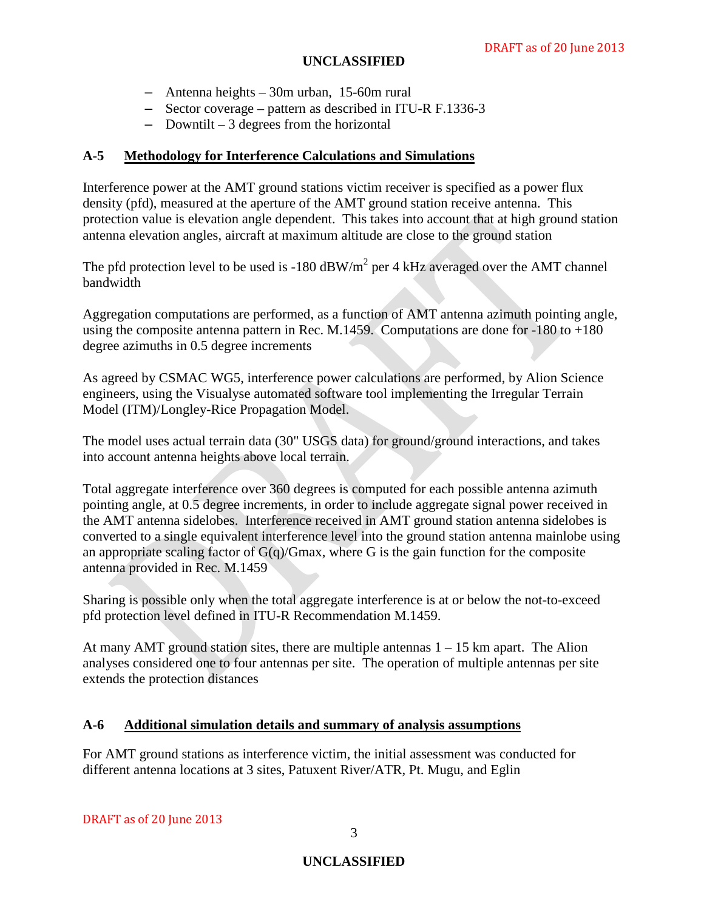- Antenna heights 30m urban, 15-60m rural
- Sector coverage pattern as described in ITU-R F.1336-3
- $-$  Downtilt  $-3$  degrees from the horizontal

## **A-5 Methodology for Interference Calculations and Simulations**

Interference power at the AMT ground stations victim receiver is specified as a power flux density (pfd), measured at the aperture of the AMT ground station receive antenna. This protection value is elevation angle dependent. This takes into account that at high ground station antenna elevation angles, aircraft at maximum altitude are close to the ground station

The pfd protection level to be used is -180 dBW/m<sup>2</sup> per 4 kHz averaged over the AMT channel bandwidth

Aggregation computations are performed, as a function of AMT antenna azimuth pointing angle, using the composite antenna pattern in Rec. M.1459. Computations are done for -180 to +180 degree azimuths in 0.5 degree increments

As agreed by CSMAC WG5, interference power calculations are performed, by Alion Science engineers, using the Visualyse automated software tool implementing the Irregular Terrain Model (ITM)/Longley-Rice Propagation Model.

The model uses actual terrain data (30" USGS data) for ground/ground interactions, and takes into account antenna heights above local terrain.

Total aggregate interference over 360 degrees is computed for each possible antenna azimuth pointing angle, at 0.5 degree increments, in order to include aggregate signal power received in the AMT antenna sidelobes. Interference received in AMT ground station antenna sidelobes is converted to a single equivalent interference level into the ground station antenna mainlobe using an appropriate scaling factor of  $G(q)/G$  max, where G is the gain function for the composite antenna provided in Rec. M.1459

Sharing is possible only when the total aggregate interference is at or below the not-to-exceed pfd protection level defined in ITU-R Recommendation M.1459.

At many AMT ground station sites, there are multiple antennas 1 – 15 km apart. The Alion analyses considered one to four antennas per site. The operation of multiple antennas per site extends the protection distances

#### **A-6 Additional simulation details and summary of analysis assumptions**

For AMT ground stations as interference victim, the initial assessment was conducted for different antenna locations at 3 sites, Patuxent River/ATR, Pt. Mugu, and Eglin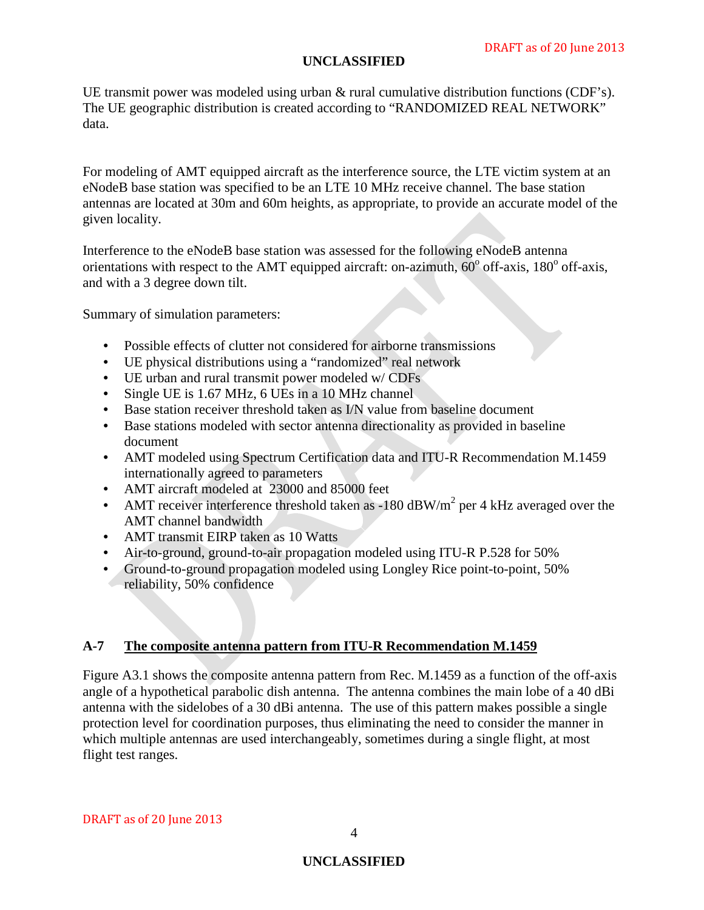UE transmit power was modeled using urban & rural cumulative distribution functions (CDF's). The UE geographic distribution is created according to "RANDOMIZED REAL NETWORK" data.

For modeling of AMT equipped aircraft as the interference source, the LTE victim system at an eNodeB base station was specified to be an LTE 10 MHz receive channel. The base station antennas are located at 30m and 60m heights, as appropriate, to provide an accurate model of the given locality.

Interference to the eNodeB base station was assessed for the following eNodeB antenna orientations with respect to the AMT equipped aircraft: on-azimuth,  $60^{\circ}$  off-axis,  $180^{\circ}$  off-axis, and with a 3 degree down tilt.

Summary of simulation parameters:

- Possible effects of clutter not considered for airborne transmissions
- UE physical distributions using a "randomized" real network
- UE urban and rural transmit power modeled w/ CDFs
- Single UE is 1.67 MHz, 6 UEs in a 10 MHz channel
- Base station receiver threshold taken as I/N value from baseline document
- Base stations modeled with sector antenna directionality as provided in baseline document
- AMT modeled using Spectrum Certification data and ITU-R Recommendation M.1459 internationally agreed to parameters
- AMT aircraft modeled at 23000 and 85000 feet
- AMT receiver interference threshold taken as  $-180$  dBW/m<sup>2</sup> per 4 kHz averaged over the AMT channel bandwidth
- AMT transmit EIRP taken as 10 Watts
- Air-to-ground, ground-to-air propagation modeled using ITU-R P.528 for 50%
- Ground-to-ground propagation modeled using Longley Rice point-to-point, 50% reliability, 50% confidence

#### **A-7 The composite antenna pattern from ITU-R Recommendation M.1459**

Figure A3.1 shows the composite antenna pattern from Rec. M.1459 as a function of the off-axis angle of a hypothetical parabolic dish antenna. The antenna combines the main lobe of a 40 dBi antenna with the sidelobes of a 30 dBi antenna. The use of this pattern makes possible a single protection level for coordination purposes, thus eliminating the need to consider the manner in which multiple antennas are used interchangeably, sometimes during a single flight, at most flight test ranges.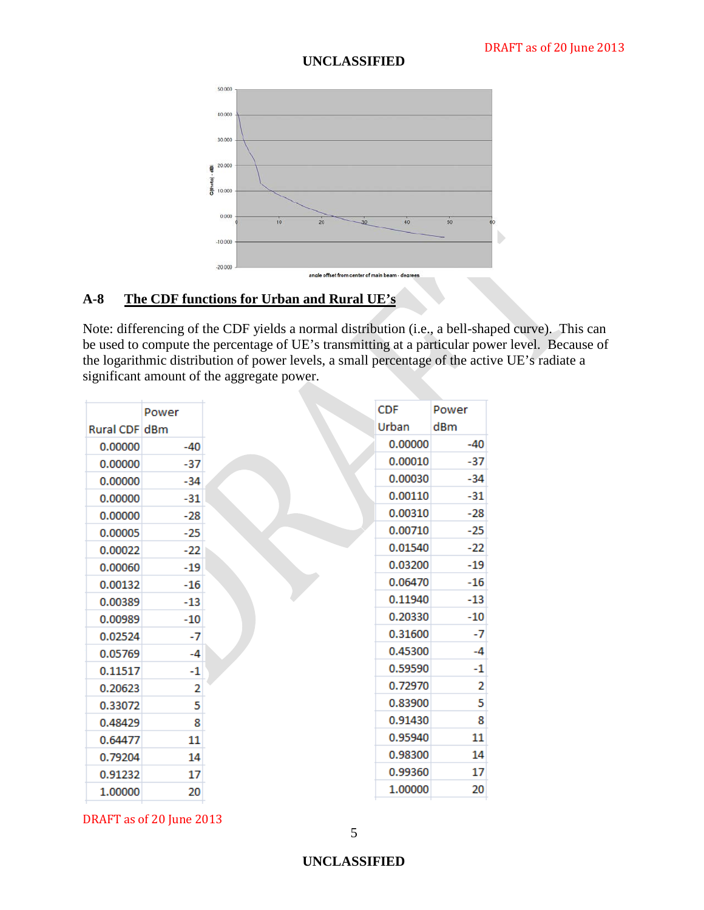

# **A-8 The CDF functions for Urban and Rural UE's**

Note: differencing of the CDF yields a normal distribution (i.e., a bell-shaped curve). This can be used to compute the percentage of UE's transmitting at a particular power level. Because of the logarithmic distribution of power levels, a small percentage of the active UE's radiate a significant amount of the aggregate power.

|               | Power |
|---------------|-------|
| Rural CDF dBm |       |
| 0.00000       | $-40$ |
| 0.00000       | $-37$ |
| 0.00000       | $-34$ |
| 0.00000       | $-31$ |
| 0.00000       | $-28$ |
| 0.00005       | $-25$ |
| 0.00022       | $-22$ |
| 0.00060       | $-19$ |
| 0.00132       | $-16$ |
| 0.00389       | $-13$ |
| 0.00989       | $-10$ |
| 0.02524       | $-7$  |
| 0.05769       | -4    |
| 0.11517       | -1    |
| 0.20623       | 2     |
| 0.33072       | 5     |
| 0.48429       | 8     |
| 0.64477       | 11    |
| 0.79204       | 14    |
| 0.91232       | 17    |
| 1.00000       | 20    |
|               |       |

DRAFT as of 20 June 2013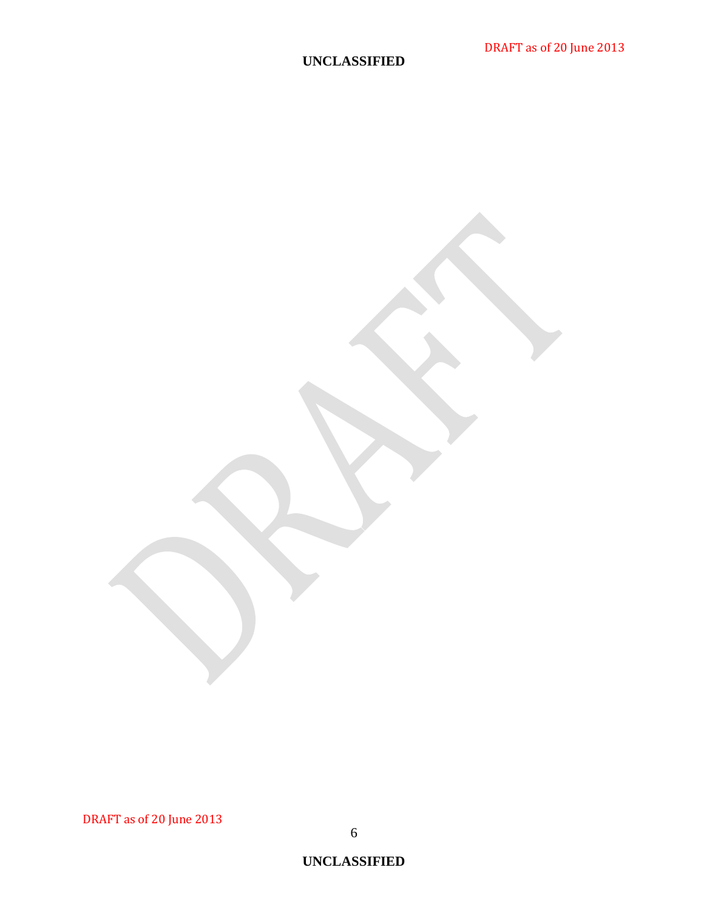DRAFT as of 20 June 2013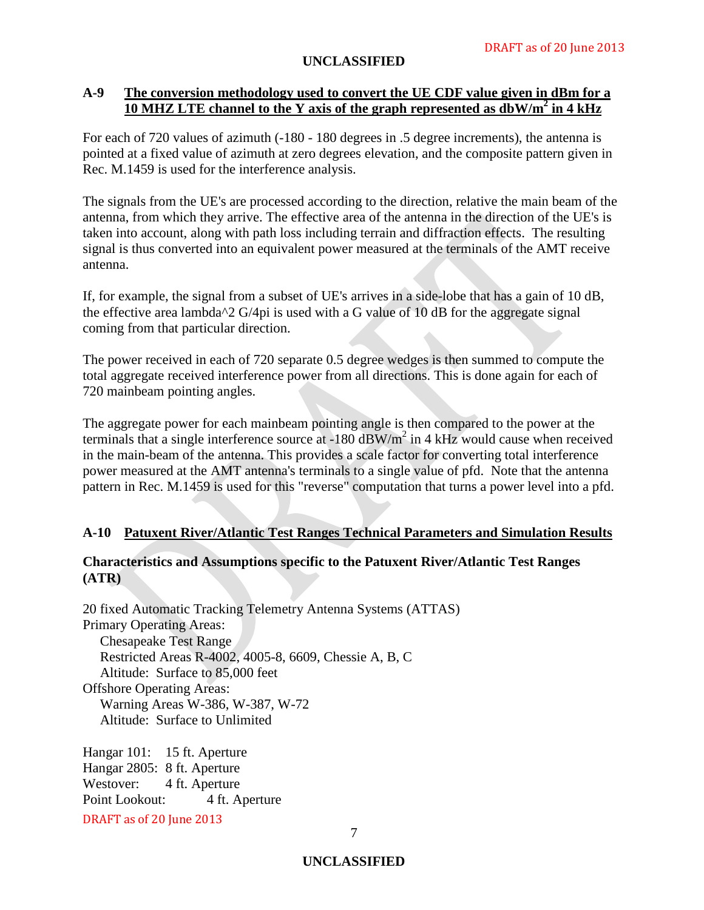#### **A-9 The conversion methodology used to convert the UE CDF value given in dBm for a 10 MHZ LTE channel to the Y axis of the graph represented as dbW/m2 in 4 kHz**

For each of 720 values of azimuth (-180 - 180 degrees in .5 degree increments), the antenna is pointed at a fixed value of azimuth at zero degrees elevation, and the composite pattern given in Rec. M.1459 is used for the interference analysis.

The signals from the UE's are processed according to the direction, relative the main beam of the antenna, from which they arrive. The effective area of the antenna in the direction of the UE's is taken into account, along with path loss including terrain and diffraction effects. The resulting signal is thus converted into an equivalent power measured at the terminals of the AMT receive antenna.

If, for example, the signal from a subset of UE's arrives in a side-lobe that has a gain of 10 dB, the effective area lambda $\alpha$ 2 G/4pi is used with a G value of 10 dB for the aggregate signal coming from that particular direction.

The power received in each of 720 separate 0.5 degree wedges is then summed to compute the total aggregate received interference power from all directions. This is done again for each of 720 mainbeam pointing angles.

The aggregate power for each mainbeam pointing angle is then compared to the power at the terminals that a single interference source at -180 dBW/m<sup>2</sup> in 4 kHz would cause when received in the main-beam of the antenna. This provides a scale factor for converting total interference power measured at the AMT antenna's terminals to a single value of pfd. Note that the antenna pattern in Rec. M.1459 is used for this "reverse" computation that turns a power level into a pfd.

#### **A-10 Patuxent River/Atlantic Test Ranges Technical Parameters and Simulation Results**

## **Characteristics and Assumptions specific to the Patuxent River/Atlantic Test Ranges (ATR)**

20 fixed Automatic Tracking Telemetry Antenna Systems (ATTAS) Primary Operating Areas: Chesapeake Test Range Restricted Areas R-4002, 4005-8, 6609, Chessie A, B, C Altitude: Surface to 85,000 feet Offshore Operating Areas: Warning Areas W-386, W-387, W-72 Altitude: Surface to Unlimited

Hangar 101: 15 ft. Aperture Hangar 2805: 8 ft. Aperture Westover: 4 ft. Aperture Point Lookout: 4 ft. Aperture

DRAFT as of 20 June 2013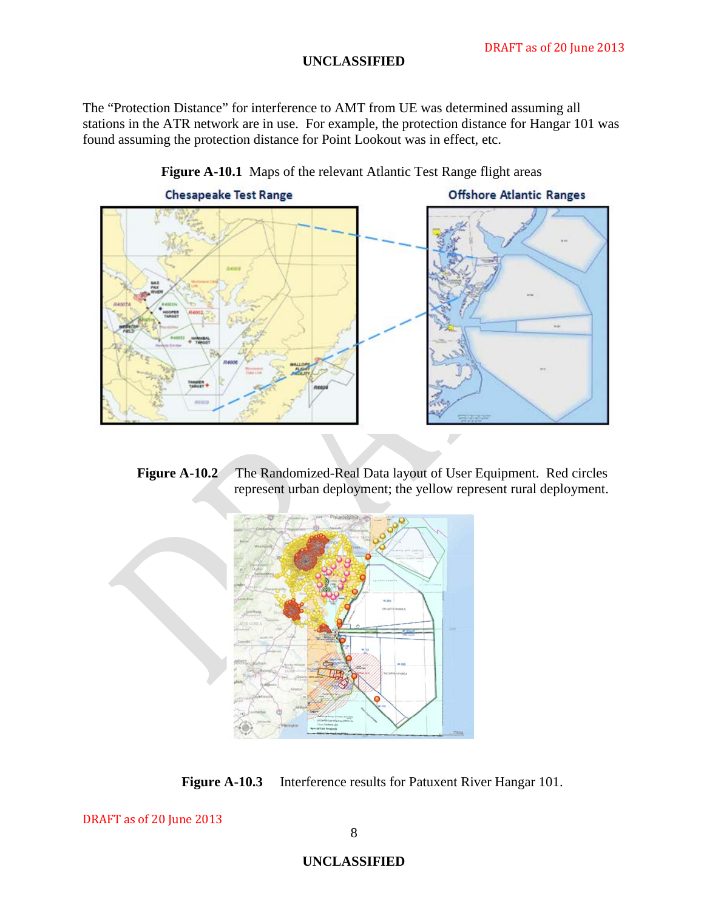The "Protection Distance" for interference to AMT from UE was determined assuming all stations in the ATR network are in use. For example, the protection distance for Hangar 101 was found assuming the protection distance for Point Lookout was in effect, etc.



Figure A-10.1 Maps of the relevant Atlantic Test Range flight areas

**Figure A-10.2** The Randomized-Real Data layout of User Equipment. Red circles represent urban deployment; the yellow represent rural deployment.



**Figure A-10.3** Interference results for Patuxent River Hangar 101.

DRAFT as of 20 June 2013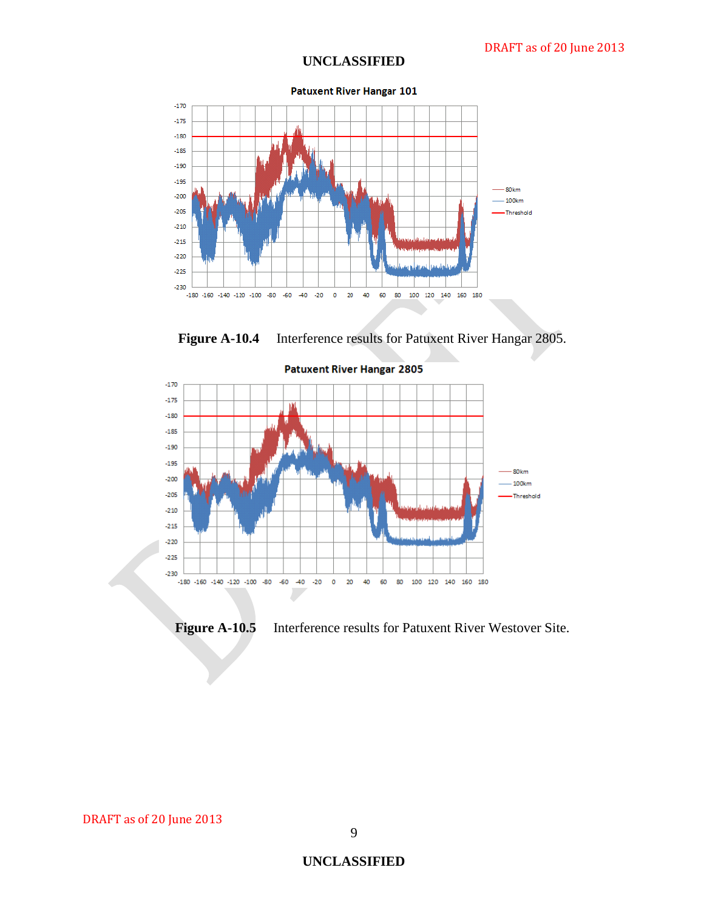

**Figure A-10.4** Interference results for Patuxent River Hangar 2805.



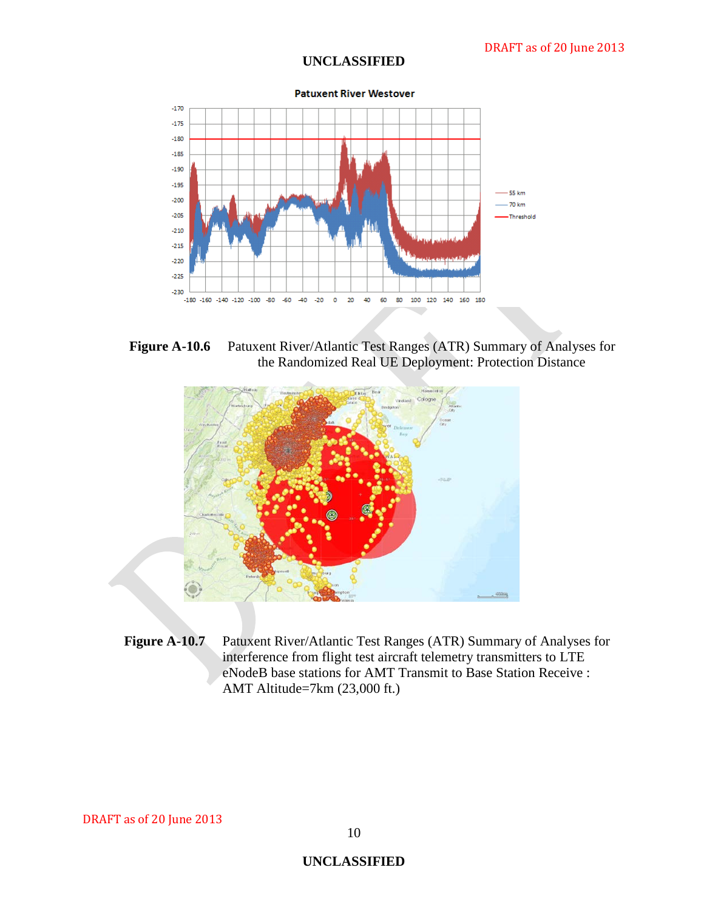

**Figure A-10.6** Patuxent River/Atlantic Test Ranges (ATR) Summary of Analyses for the Randomized Real UE Deployment: Protection Distance



**Figure A-10.7** Patuxent River/Atlantic Test Ranges (ATR) Summary of Analyses for interference from flight test aircraft telemetry transmitters to LTE eNodeB base stations for AMT Transmit to Base Station Receive : AMT Altitude=7km (23,000 ft.)